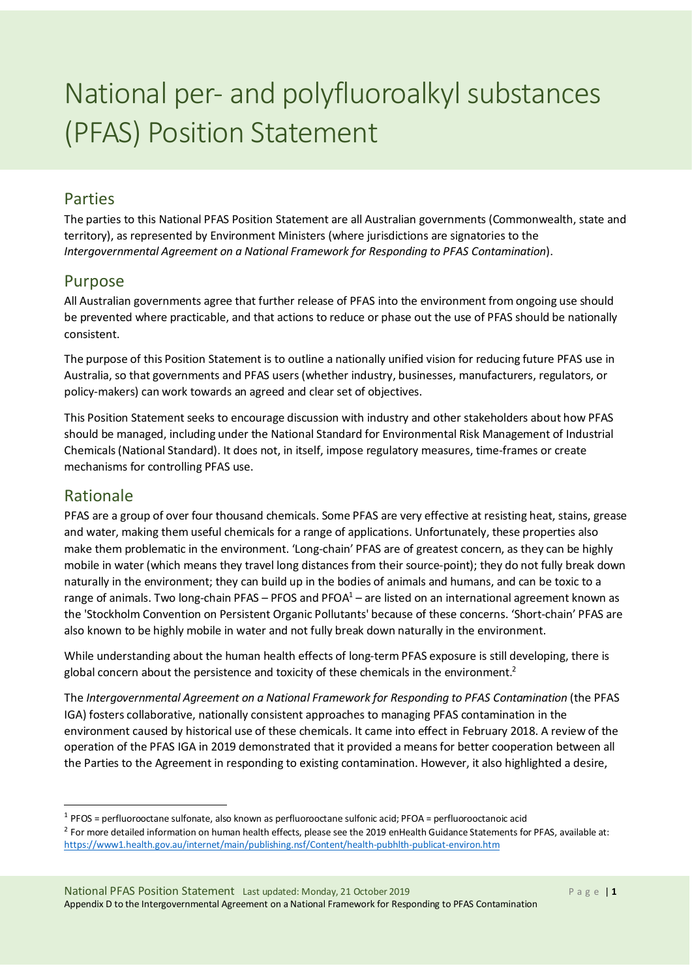# National per- and polyfluoroalkyl substances (PFAS) Position Statement

# **Parties**

The parties to this National PFAS Position Statement are all Australian governments (Commonwealth, state and territory), as represented by Environment Ministers (where jurisdictions are signatories to the *Intergovernmental Agreement on a National Framework for Responding to PFAS Contamination*).

## Purpose

All Australian governments agree that further release of PFAS into the environment from ongoing use should be prevented where practicable, and that actions to reduce or phase out the use of PFAS should be nationally consistent.

The purpose of this Position Statement is to outline a nationally unified vision for reducing future PFAS use in Australia, so that governments and PFAS users(whether industry, businesses, manufacturers, regulators, or policy-makers) can work towards an agreed and clear set of objectives.

This Position Statement seeks to encourage discussion with industry and other stakeholders about how PFAS should be managed, including under the National Standard for Environmental Risk Management of Industrial Chemicals(National Standard). It does not, in itself, impose regulatory measures, time-frames or create mechanisms for controlling PFAS use.

## Rationale

PFAS are a group of over four thousand chemicals. Some PFAS are very effective at resisting heat, stains, grease and water, making them useful chemicals for a range of applications. Unfortunately, these properties also make them problematic in the environment. 'Long-chain' PFAS are of greatest concern, as they can be highly mobile in water (which means they travel long distances from their source-point); they do not fully break down naturally in the environment; they can build up in the bodies of animals and humans, and can be toxic to a range of animals. Two long-chain PFAS – PFOS and PFOA $1$  – are listed on an international agreement known as the 'Stockholm Convention on Persistent Organic Pollutants' because of these concerns. 'Short-chain' PFAS are also known to be highly mobile in water and not fully break down naturally in the environment.

While understanding about the human health effects of long-term PFAS exposure is still developing, there is global concern about the persistence and toxicity of these chemicals in the environment.<sup>2</sup>

The *Intergovernmental Agreement on a National Framework for Responding to PFAS Contamination* (the PFAS IGA) fosters collaborative, nationally consistent approaches to managing PFAS contamination in the environment caused by historical use of these chemicals. It came into effect in February 2018. A review of the operation of the PFAS IGA in 2019 demonstrated that it provided a meansfor better cooperation between all the Parties to the Agreement in responding to existing contamination. However, it also highlighted a desire,

<sup>1</sup> PFOS = perfluorooctane sulfonate, also known as perfluorooctane sulfonic acid; PFOA = perfluorooctanoic acid

<sup>&</sup>lt;sup>2</sup> For more detailed information on human health effects, please see the 2019 enHealth Guidance Statements for PFAS, available at: https://www1.health.gov.au/internet/main/publishing.nsf/Content/health-pubhlth-publicat-environ.htm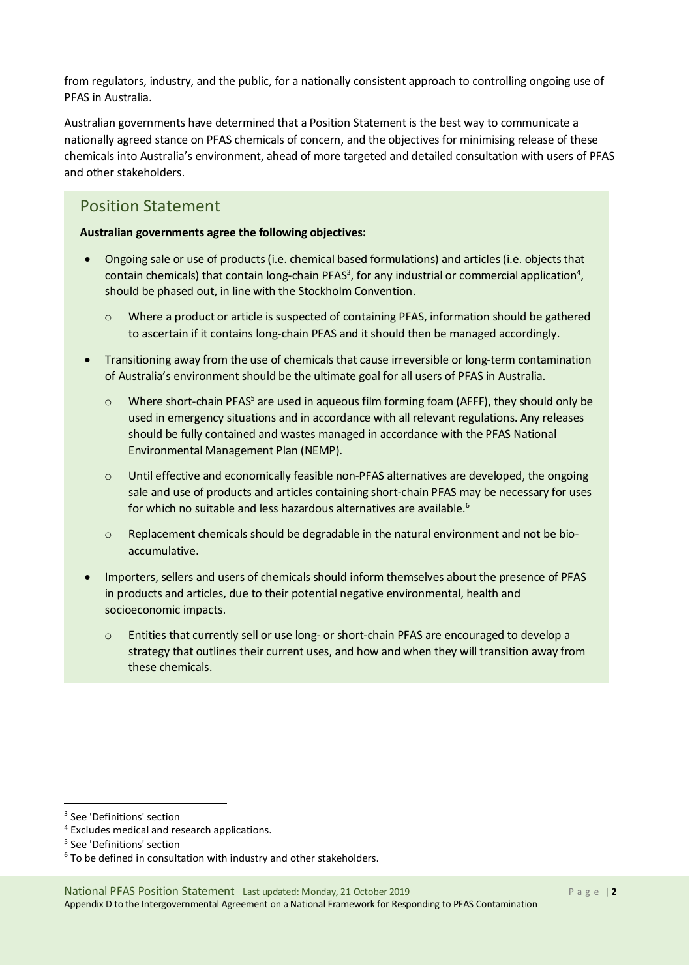from regulators, industry, and the public, for a nationally consistent approach to controlling ongoing use of PFAS in Australia.

Australian governments have determined that a Position Statement is the best way to communicate a nationally agreed stance on PFAS chemicals of concern, and the objectives for minimising release of these chemicals into Australia's environment, ahead of more targeted and detailed consultation with users of PFAS and other stakeholders.

## Position Statement

### **Australian governments agree the following objectives:**

- Ongoing sale or use of products (i.e. chemical based formulations) and articles (i.e. objects that contain chemicals) that contain long-chain PFAS $3$ , for any industrial or commercial application $4$ , should be phased out, in line with the Stockholm Convention.
	- o Where a product or article is suspected of containing PFAS, information should be gathered to ascertain if it contains long-chain PFAS and it should then be managed accordingly.
- Transitioning away from the use of chemicals that cause irreversible or long-term contamination of Australia's environment should be the ultimate goal for all users of PFAS in Australia.
	- $\circ$  Where short-chain PFAS<sup>5</sup> are used in aqueous film forming foam (AFFF), they should only be used in emergency situations and in accordance with all relevant regulations. Any releases should be fully contained and wastes managed in accordance with the PFAS National Environmental Management Plan (NEMP).
	- o Until effective and economically feasible non-PFAS alternatives are developed, the ongoing sale and use of products and articles containing short-chain PFAS may be necessary for uses for which no suitable and less hazardous alternatives are available.6
	- $\circ$  Replacement chemicals should be degradable in the natural environment and not be bioaccumulative.
- Importers, sellers and users of chemicals should inform themselves about the presence of PFAS in products and articles, due to their potential negative environmental, health and socioeconomic impacts.
	- o Entities that currently sell or use long- or short-chain PFAS are encouraged to develop a strategy that outlines their current uses, and how and when they will transition away from these chemicals.

<sup>3</sup> See 'Definitions' section

<sup>4</sup> Excludes medical and research applications.

<sup>5</sup> See 'Definitions' section

 $6$  To be defined in consultation with industry and other stakeholders.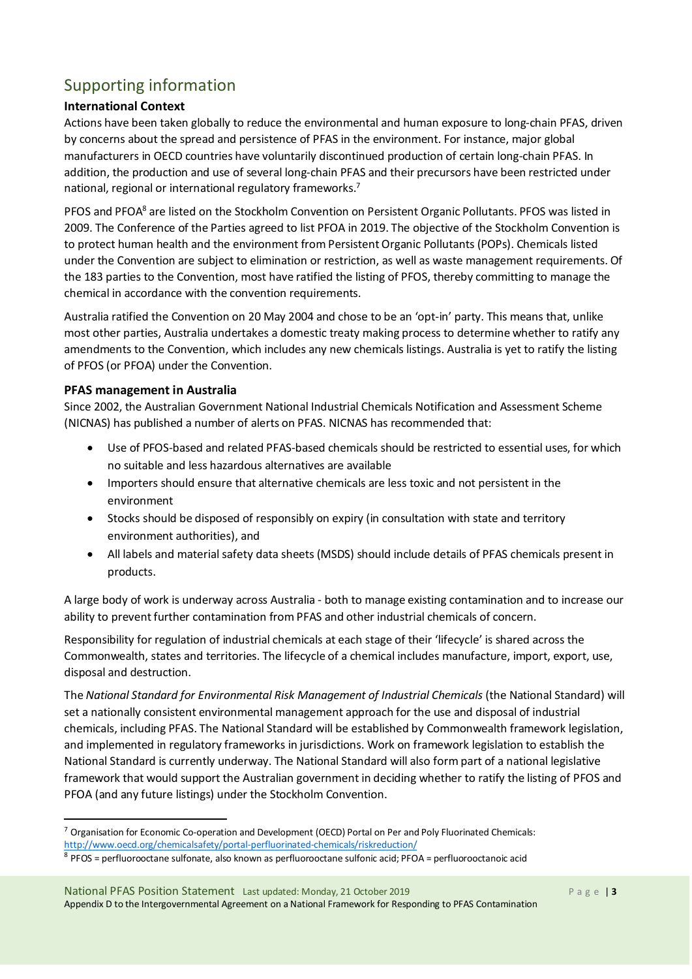# Supporting information

## **International Context**

Actions have been taken globally to reduce the environmental and human exposure to long-chain PFAS, driven by concerns about the spread and persistence of PFAS in the environment. For instance, major global manufacturers in OECD countries have voluntarily discontinued production of certain long-chain PFAS. In addition, the production and use of several long-chain PFAS and their precursors have been restricted under national, regional or international regulatory frameworks.<sup>7</sup>

PFOS and PFOA<sup>8</sup> are listed on the Stockholm Convention on Persistent Organic Pollutants. PFOS was listed in 2009. The Conference of the Parties agreed to list PFOA in 2019. The objective of the Stockholm Convention is to protect human health and the environment from Persistent Organic Pollutants (POPs). Chemicals listed under the Convention are subject to elimination or restriction, as well as waste management requirements. Of the 183 parties to the Convention, most have ratified the listing of PFOS, thereby committing to manage the chemical in accordance with the convention requirements.

Australia ratified the Convention on 20 May 2004 and chose to be an 'opt-in' party. This means that, unlike most other parties, Australia undertakes a domestic treaty making process to determine whether to ratify any amendments to the Convention, which includes any new chemicals listings. Australia is yet to ratify the listing of PFOS (or PFOA) under the Convention.

### **PFAS management in Australia**

Since 2002, the Australian Government National Industrial Chemicals Notification and Assessment Scheme (NICNAS) has published a number of alerts on PFAS. NICNAS has recommended that:

- Use of PFOS-based and related PFAS-based chemicals should be restricted to essential uses, for which no suitable and less hazardous alternatives are available
- Importers should ensure that alternative chemicals are less toxic and not persistent in the environment
- Stocks should be disposed of responsibly on expiry (in consultation with state and territory environment authorities), and
- All labels and material safety data sheets (MSDS) should include details of PFAS chemicals present in products.

A large body of work is underway across Australia - both to manage existing contamination and to increase our ability to prevent further contamination from PFAS and other industrial chemicals of concern.

Responsibility for regulation of industrial chemicals at each stage of their 'lifecycle' is shared across the Commonwealth, states and territories. The lifecycle of a chemical includes manufacture, import, export, use, disposal and destruction.

The *National Standard for Environmental Risk Management of Industrial Chemicals* (the National Standard) will set a nationally consistent environmental management approach for the use and disposal of industrial chemicals, including PFAS. The National Standard will be established by Commonwealth framework legislation, and implemented in regulatory frameworks in jurisdictions. Work on framework legislation to establish the National Standard is currently underway. The National Standard will also form part of a national legislative framework that would support the Australian government in deciding whether to ratify the listing of PFOS and PFOA (and any future listings) under the Stockholm Convention.

<sup>7</sup> Organisation for Economic Co-operation and Development (OECD) Portal on Per and Poly Fluorinated Chemicals: http://www.oecd.org/chemicalsafety/portal-perfluorinated-chemicals/riskreduction/

<sup>8</sup> PFOS = perfluorooctane sulfonate, also known as perfluorooctane sulfonic acid; PFOA = perfluorooctanoic acid